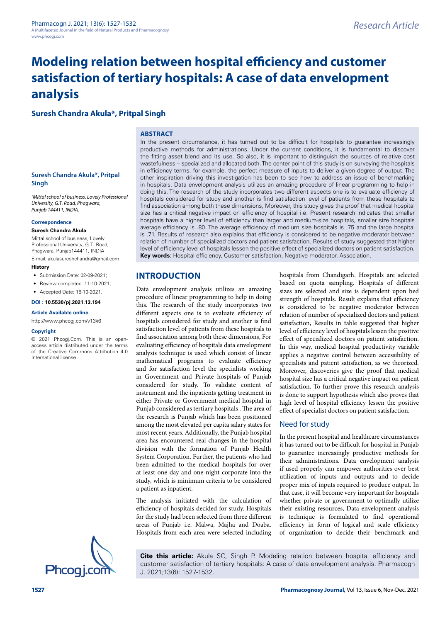# **Modeling relation between hospital efficiency and customer satisfaction of tertiary hospitals: A case of data envelopment analysis**

# **Suresh Chandra Akula\*, Pritpal Singh**

### **ABSTRACT**

### **Suresh Chandra Akula\*, Pritpal Singh**

*1 Mittal school of business, Lovely Professional University, G.T. Road, Phagwara, Punjab 144411, INDIA.*

#### **Correspondence**

**Suresh Chandra Akula**

Mittal school of business, Lovely Professional University, G.T. Road, Phagwara, Punjab144411, INDIA

E-mail: akulasureshchandra@gmail.com

#### **History**

- Submission Date: 02-09-2021;
- Review completed: 11-10-2021;
- Accepted Date: 18-10-2021.

### **DOI : 10.5530/pj.2021.13.194**

**Article Available online** 

[http://www.phcogj.com/v13/i](http://www.phcogj.com/v13/i4)6

#### **Copyright**

© 2021 Phcogj.Com. This is an openaccess article distributed under the terms of the Creative Commons Attribution 4.0 International license.

In the present circumstance, it has turned out to be difficult for hospitals to guarantee increasingly productive methods for administrations. Under the current conditions, it is fundamental to discover the fitting asset blend and its use. So also, it is important to distinguish the sources of relative cost wastefulness – specialized and allocated both. The center point of this study is on surveying the hospitals in efficiency terms, for example, the perfect measure of inputs to deliver a given degree of output. The other inspiration driving this investigation has been to see how to address an issue of benchmarking in hospitals. Data envelopment analysis utilizes an amazing procedure of linear programming to help in doing this. The research of the study incorporates two different aspects one is to evaluate efficiency of hospitals considered for study and another is find satisfaction level of patients from these hospitals to find association among both these dimensions, Moreover, this study gives the proof that medical hospital size has a critical negative impact on efficiency of hospital i.e. Present research indicates that smaller hospitals have a higher level of efficiency than larger and medium-size hospitals, smaller size hospitals average efficiency is .80. The average efficiency of medium size hospitals is .75 and the large hospital is .71. Results of research also explains that efficiency is considered to be negative moderator between relation of number of specialized doctors and patient satisfaction. Results of study suggested that higher level of efficiency level of hospitals lessen the positive effect of specialized doctors on patient satisfaction. **Key words**: Hospital efficiency, Customer satisfaction, Negative moderator, Association.

# **INTRODUCTION**

Data envelopment analysis utilizes an amazing procedure of linear programming to help in doing this. The research of the study incorporates two different aspects one is to evaluate efficiency of hospitals considered for study and another is find satisfaction level of patients from these hospitals to find association among both these dimensions, For evaluating efficiency of hospitals data envelopment analysis technique is used which consist of linear mathematical programs to evaluate efficiency and for satisfaction level the specialists working in Government and Private hospitals of Punjab considered for study. To validate content of instrument and the inpatients getting treatment in either Private or Government medical hospital in Punjab considered as tertiary hospitals . The area of the research is Punjab which has been positioned among the most elevated per capita salary states for most recent years. Additionally, the Punjab hospital area has encountered real changes in the hospital division with the formation of Punjab Health System Corporation. Further, the patients who had been admitted to the medical hospitals for over at least one day and one-night corporate into the study, which is minimum criteria to be considered a patient as inpatient.

The analysis initiated with the calculation of efficiency of hospitals decided for study. Hospitals for the study had been selected from three different areas of Punjab i.e. Malwa, Majha and Doaba. Hospitals from each area were selected including

hospitals from Chandigarh. Hospitals are selected based on quota sampling. Hospitals of different sizes are selected and size is dependent upon bed strength of hospitals. Result explains that efficiency is considered to be negative moderator between relation of number of specialized doctors and patient satisfaction, Results in table suggested that higher level of efficiency level of hospitals lessen the positive effect of specialized doctors on patient satisfaction. In this way, medical hospital productivity variable applies a negative control between accessibility of specialists and patient satisfaction, as we theorized. Moreover, discoveries give the proof that medical hospital size has a critical negative impact on patient satisfaction. To further prove this research analysis is done to support hypothesis which also proves that high level of hospital efficiency lessen the positive effect of specialist doctors on patient satisfaction.

### Need for study

In the present hospital and healthcare circumstances it has turned out to be difficult for hospital in Punjab to guarantee increasingly productive methods for their administrations. Data envelopment analysis if used properly can empower authorities over best utilization of inputs and outputs and to decide proper mix of inputs required to produce output. In that case, it will become very important for hospitals whether private or government to optimally utilize their existing resources, Data envelopment analysis is technique is formulated to find operational efficiency in form of logical and scale efficiency of organization to decide their benchmark and



**Cite this article:** Akula SC, Singh P. Modeling relation between hospital efficiency and customer satisfaction of tertiary hospitals: A case of data envelopment analysis. Pharmacogn J. 2021;13(6): 1527-1532.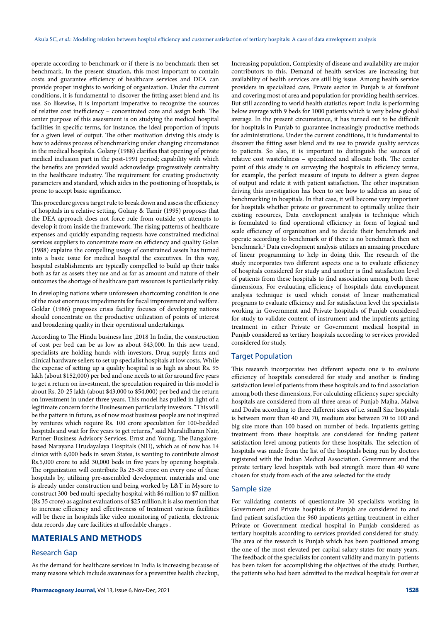operate according to benchmark or if there is no benchmark then set benchmark. In the present situation, this most important to contain costs and guarantee efficiency of healthcare services and DEA can provide proper insights to working of organization. Under the current conditions, it is fundamental to discover the fitting asset blend and its use. So likewise, it is important imperative to recognize the sources of relative cost inefficiency – concentrated core and assign both. The center purpose of this assessment is on studying the medical hospital facilities in specific terms, for instance, the ideal proportion of inputs for a given level of output. The other motivation driving this study is how to address process of benchmarking under changing circumstance in the medical hospitals. Golany (1988) clarifies that opening of private medical inclusion part in the post-1991 period; capability with which the benefits are provided would acknowledge progressively centrality in the healthcare industry. The requirement for creating productivity parameters and standard, which aides in the positioning of hospitals, is prone to accept basic significance.

This procedure gives a target rule to break down and assess the efficiency of hospitals in a relative setting. Golany & Tamir (1995) proposes that the DEA approach does not force rule from outside yet attempts to develop it from inside the framework. The rising patterns of healthcare expenses and quickly expanding requests have constrained medicinal services suppliers to concentrate more on efficiency and quality Golan (1988) explains the compelling usage of constrained assets has turned into a basic issue for medical hospital the executives. In this way, hospital establishments are typically compelled to build up their tasks both as far as assets they use and as far as amount and nature of their outcomes the shortage of healthcare part resources is particularly risky.

In developing nations where unforeseen shortcoming condition is one of the most enormous impediments for fiscal improvement and welfare. Goldar (1986) proposes crisis facility focuses of developing nations should concentrate on the productive utilization of points of interest and broadening quality in their operational undertakings.

According to The Hindu business line ,2018 In India, the construction of cost per bed can be as low as about \$43,000. In this new trend, specialists are holding hands with investors, Drug supply firms and clinical hardware sellers to set up specialist hospitals at low costs. While the expense of setting up a quality hospital is as high as about Rs. 95 lakh (about \$152,000) per bed and one needs to sit for around five years to get a return on investment, the speculation required in this model is about Rs. 20-25 lakh (about \$43,000 to \$54,000) per bed and the return on investment in under three years. This model has pulled in light of a legitimate concern for the Businessmen particularly investors. "This will be the pattern in future, as of now most business people are not inspired by ventures which require Rs. 100 crore speculation for 100-bedded hospitals and wait for five years to get returns," said Muralidharan Nair, Partner-Business Advisory Services, Ernst and Young. The Bangalorebased Narayana Hrudayalaya Hospitals (NH), which as of now has 14 clinics with 6,000 beds in seven States, is wanting to contribute almost Rs.5,000 crore to add 30,000 beds in five years by opening hospitals. The organization will contribute Rs 25-30 crore on every one of these hospitals by, utilizing pre-assembled development materials and one is already under construction and being worked by L&T in Mysore to construct 300-bed multi-specialty hospital with \$6 million to \$7 million (Rs 35 crore) as against evaluations of \$25 million.it is also mention that to increase efficiency and effectiveness of treatment various facilities will be there in hospitals like video monitoring of patients, electronic data records ,day care facilities at affordable charges .

# **MATERIALS AND METHODS**

# Research Gap

As the demand for healthcare services in India is increasing because of many reasons which include awareness for a preventive health checkup, Increasing population, Complexity of disease and availability are major contributors to this. Demand of health services are increasing but availability of health services are still big issue. Among health service providers in specialized care, Private sector in Punjab is at forefront and covering most of area and population for providing health services. But still according to world health statistics report India is performing below average with 9 beds for 1000 patients which is very below global average. In the present circumstance, it has turned out to be difficult for hospitals in Punjab to guarantee increasingly productive methods for administrations. Under the current conditions, it is fundamental to discover the fitting asset blend and its use to provide quality services to patients. So also, it is important to distinguish the sources of relative cost wastefulness – specialized and allocate both. The center point of this study is on surveying the hospitals in efficiency terms, for example, the perfect measure of inputs to deliver a given degree of output and relate it with patient satisfaction. The other inspiration driving this investigation has been to see how to address an issue of benchmarking in hospitals. In that case, it will become very important for hospitals whether private or government to optimally utilize their existing resources, Data envelopment analysis is technique which is formulated to find operational efficiency in form of logical and scale efficiency of organization and to decide their benchmark and operate according to benchmark or if there is no benchmark then set benchmark.1 Data envelopment analysis utilizes an amazing procedure of linear programming to help in doing this. The research of the study incorporates two different aspects one is to evaluate efficiency of hospitals considered for study and another is find satisfaction level of patients from these hospitals to find association among both these dimensions, For evaluating efficiency of hospitals data envelopment analysis technique is used which consist of linear mathematical programs to evaluate efficiency and for satisfaction level the specialists working in Government and Private hospitals of Punjab considered for study to validate content of instrument and the inpatients getting treatment in either Private or Government medical hospital in Punjab considered as tertiary hospitals according to services provided considered for study.

### Target Population

This research incorporates two different aspects one is to evaluate efficiency of hospitals considered for study and another is finding satisfaction level of patients from these hospitals and to find association among both these dimensions, For calculating efficiency super specialty hospitals are considered from all three areas of Punjab Majha, Malwa and Doaba according to three different sizes of i.e. small Size hospitals is between more than 40 and 70, medium size between 70 to 100 and big size more than 100 based on number of beds. Inpatients getting treatment from these hospitals are considered for finding patient satisfaction level among patients for these hospitals. The selection of hospitals was made from the list of the hospitals being run by doctors registered with the Indian Medical Association. Government and the private tertiary level hospitals with bed strength more than 40 were chosen for study from each of the area selected for the study

### Sample size

For validating contents of questionnaire 30 specialists working in Government and Private hospitals of Punjab are considered to and find patient satisfaction the 960 inpatients getting treatment in either Private or Government medical hospital in Punjab considered as tertiary hospitals according to services provided considered for study. The area of the research is Punjab which has been positioned among the one of the most elevated per capital salary states for many years. The feedback of the specialists for content validity and many in-patients has been taken for accomplishing the objectives of the study. Further, the patients who had been admitted to the medical hospitals for over at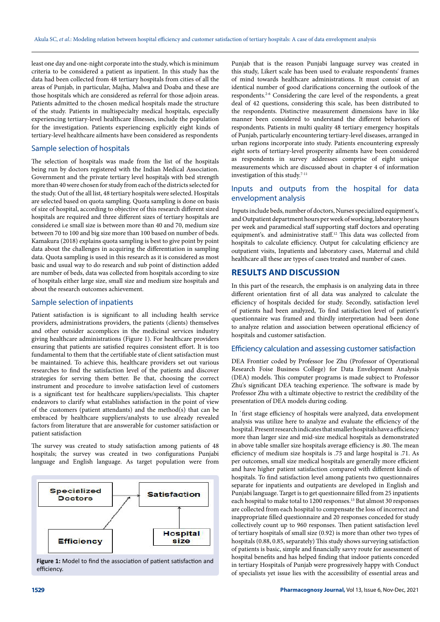least one day and one-night corporate into the study, which is minimum criteria to be considered a patient as inpatient. In this study has the data had been collected from 48 tertiary hospitals from cities of all the areas of Punjab, in particular, Majha, Malwa and Doaba and these are those hospitals which are considered as referral for those adjoin areas. Patients admitted to the chosen medical hospitals made the structure of the study. Patients in multispecialty medical hospitals, especially experiencing tertiary-level healthcare illnesses, include the population for the investigation. Patients experiencing explicitly eight kinds of tertiary-level healthcare ailments have been considered as respondents

## Sample selection of hospitals

The selection of hospitals was made from the list of the hospitals being run by doctors registered with the Indian Medical Association. Government and the private tertiary level hospitals with bed strength more than 40 were chosen for study from each of the districts selected for the study. Out of the all list, 48 tertiary hospitals were selected. Hospitals are selected based on quota sampling. Quota sampling is done on basis of size of hospital, according to objective of this research different sized hospitals are required and three different sizes of tertiary hospitals are considered i.e small size is between more than 40 and 70, medium size between 70 to 100 and big size more than 100 based on number of beds. Kamakura (2018) explains quota sampling is best to give point by point data about the challenges in acquiring the differentiation in sampling data. Quota sampling is used in this research as it is considered as most basic and usual way to do research and sub point of distinction added are number of beds, data was collected from hospitals according to size of hospitals either large size, small size and medium size hospitals and about the research outcomes achievement.

### Sample selection of inpatients

Patient satisfaction is is significant to all including health service providers, administrations providers, the patients (clients) themselves and other outsider accomplices in the medicinal services industry giving healthcare administrations (Figure 1). For healthcare providers ensuring that patients are satisfied requires consistent effort. It is too fundamental to them that the certifiable state of client satisfaction must be maintained. To achieve this, healthcare providers set out various researches to find the satisfaction level of the patients and discover strategies for serving them better. Be that, choosing the correct instrument and procedure to involve satisfaction level of customers is a significant test for healthcare suppliers/specialists. This chapter endeavors to clarify what establishes satisfaction in the point of view of the customers (patient attendants) and the method(s) that can be embraced by healthcare suppliers/analysts to use already revealed factors from literature that are answerable for customer satisfaction or patient satisfaction

The survey was created to study satisfaction among patients of 48 hospitals; the survey was created in two configurations Punjabi language and English language. As target population were from



**Figure 1:** Model to find the association of patient satisfaction and efficiency.

Punjab that is the reason Punjabi language survey was created in this study, Likert scale has been used to evaluate respondents' frames of mind towards healthcare administrations. It must consist of an identical number of good clarifications concerning the outlook of the respondents.2-6 Considering the care level of the respondents, a great deal of 42 questions, considering this scale, has been distributed to the respondents. Distinctive measurement dimensions have in like manner been considered to understand the different behaviors of respondents. Patients in multi quality 48 tertiary emergency hospitals of Punjab, particularly encountering tertiary-level diseases, arranged in urban regions incorporate into study. Patients encountering expressly eight sorts of tertiary-level prosperity ailments have been considered as respondents in survey addresses comprise of eight unique measurements which are discussed about in chapter 4 of information investigation of this study.<sup>7-11</sup>

# Inputs and outputs from the hospital for data envelopment analysis

Inputs include beds, number of doctors, Nurses specialized equipment's, and Outpatient department hours per week of working, laboratory hours per week and paramedical staff supporting staff doctors and operating equipment's. and administrative staff.12 This data was collected from hospitals to calculate efficiency. Output for calculating efficiency are outpatient visits, Inpatients and laboratory cases, Maternal and child healthcare all these are types of cases treated and number of cases.

# **RESULTS AND DISCUSSION**

In this part of the research, the emphasis is on analyzing data in three different orientation first of all data was analyzed to calculate the efficiency of hospitals decided for study. Secondly, satisfaction level of patients had been analyzed, To find satisfaction level of patient's questionnaire was framed and thirdly interpretation had been done to analyze relation and association between operational efficiency of hospitals and customer satisfaction.

# Efficiency calculation and assessing customer satisfaction

DEA Frontier coded by Professor Joe Zhu (Professor of Operational Research Foise Business College) for Data Envelopment Analysis (DEA) models. This computer programs is made subject to Professor Zhu's significant DEA teaching experience. The software is made by Professor Zhu with a ultimate objective to restrict the credibility of the presentation of DEA models during coding.

In `first stage efficiency of hospitals were analyzed, data envelopment analysis was utilize here to analyze and evaluate the efficiency of the hospital. Present research indicates that smaller hospitals have a efficiency more than larger size and mid-size medical hospitals as demonstrated in above table smaller size hospitals average efficiency is .80. The mean efficiency of medium size hospitals is .75 and large hospital is .71. As per outcomes, small size medical hospitals are generally more efficient and have higher patient satisfaction compared with different kinds of hospitals. To find satisfaction level among patients two questionnaires separate for inpatients and outpatients are developed in English and Punjabi language. Target is to get questionnaire filled from 25 inpatients each hospital to make total to 1200 responses.13 But almost 30 responses are collected from each hospital to compensate the loss of incorrect and inappropriate filled questionnaire and 20 responses conceded for study collectively count up to 960 responses. Then patient satisfaction level of tertiary hospitals of small size (0.92) is more than other two types of hospitals (0.88, 0.85, separately) This study shows surveying satisfaction of patients is basic, simple and financially savvy route for assessment of hospital benefits and has helped finding that indoor patients conceded in tertiary Hospitals of Punjab were progressively happy with Conduct of specialists yet issue lies with the accessibility of essential areas and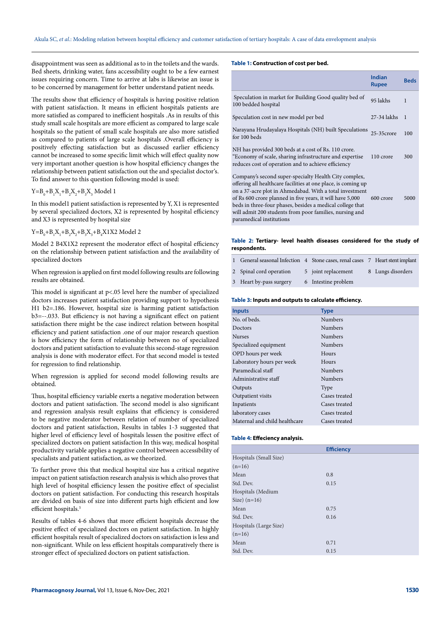disappointment was seen as additional as to in the toilets and the wards. Bed sheets, drinking water, fans accessibility ought to be a few earnest issues requiring concern. Time to arrive at labs is likewise an issue is to be concerned by management for better understand patient needs.

The results show that efficiency of hospitals is having positive relation with patient satisfaction. It means in efficient hospitals patients are more satisfied as compared to inefficient hospitals .As in results of this study small scale hospitals are more efficient as compared to large scale hospitals so the patient of small scale hospitals are also more satisfied as compared to patients of large scale hospitals .Overall efficiency is positively effecting satisfaction but as discussed earlier efficiency cannot be increased to some specific limit which will effect quality now very important another question is how hospital efficiency changes the relationship between patient satisfaction out the and specialist doctor's. To find answer to this question following model is used:

### $Y = B_0 + B_1 X_1 + B_2 X_2 + B_3 X_3$  Model 1

In this model1 patient satisfaction is represented by Y, X1 is represented by several specialized doctors, X2 is represented by hospital efficiency and X3 is represented by hospital size

### $Y = B_0 + B_1 X_1 + B_2 X_2 + B_3 X_3 + B_4 X 1 X 2$  Model 2

Model 2 B4X1X2 represent the moderator effect of hospital efficiency on the relationship between patient satisfaction and the availability of specialized doctors

When regression is applied on first model following results are following results are obtained.

This model is significant at p<.05 level here the number of specialized doctors increases patient satisfaction providing support to hypothesis H1 b2=.186. However, hospital size is harming patient satisfaction b3=--.033. But efficiency is not having a significant effect on patient satisfaction there might be the case indirect relation between hospital efficiency and patient satisfaction .one of our major research question is how efficiency the form of relationship between no of specialized doctors and patient satisfaction to evaluate this second-stage regression analysis is done with moderator effect. For that second model is tested for regression to find relationship.

When regression is applied for second model following results are obtained.

Thus, hospital efficiency variable exerts a negative moderation between doctors and patient satisfaction. The second model is also significant and regression analysis result explains that efficiency is considered to be negative moderator between relation of number of specialized doctors and patient satisfaction, Results in tables 1-3 suggested that higher level of efficiency level of hospitals lessen the positive effect of specialized doctors on patient satisfaction In this way, medical hospital productivity variable applies a negative control between accessibility of specialists and patient satisfaction, as we theorized.

To further prove this that medical hospital size has a critical negative impact on patient satisfaction research analysis is which also proves that high level of hospital efficiency lessen the positive effect of specialist doctors on patient satisfaction. For conducting this research hospitals are divided on basis of size into different parts high efficient and low efficient hospitals.<sup>5</sup>

Results of tables 4-6 shows that more efficient hospitals decrease the positive effect of specialized doctors on patient satisfaction. In highly efficient hospitals result of specialized doctors on satisfaction is less and non-significant. While on less efficient hospitals comparatively there is stronger effect of specialized doctors on patient satisfaction.

#### **Table 1: Construction of cost per bed.**

|                                                                                                                                                                                                                                                                                                                                                                                                    | <b>Indian</b><br><b>Rupee</b> | <b>Beds</b> |
|----------------------------------------------------------------------------------------------------------------------------------------------------------------------------------------------------------------------------------------------------------------------------------------------------------------------------------------------------------------------------------------------------|-------------------------------|-------------|
| Speculation in market for Building Good quality bed of<br>100 bedded hospital                                                                                                                                                                                                                                                                                                                      | 95 lakhs                      | 1           |
| Speculation cost in new model per bed                                                                                                                                                                                                                                                                                                                                                              | $27-34$ lakhs                 | 1           |
| Narayana Hrudayalaya Hospitals (NH) built Speculations 25-35 crore<br>for 100 beds                                                                                                                                                                                                                                                                                                                 |                               | 100         |
| NH has provided 300 beds at a cost of Rs. 110 crore.<br>"Economy of scale, sharing infrastructure and expertise<br>reduces cost of operation and to achieve efficiency                                                                                                                                                                                                                             | 110 crore                     | 300         |
| Company's second super-specialty Health City complex,<br>offering all healthcare facilities at one place, is coming up<br>on a 37-acre plot in Ahmedabad. With a total investment<br>of Rs 600 crore planned in five years, it will have 5,000<br>beds in three-four phases, besides a medical college that<br>will admit 200 students from poor families, nursing and<br>paramedical institutions | 600 crore                     | 5000        |

### **Table 2: Tertiary- level health diseases considered for the study of respondents.**

| General seasonal Infection 4 Stone cases, renal cases 7 Heart stent implant |                     |                   |
|-----------------------------------------------------------------------------|---------------------|-------------------|
| 2 Spinal cord operation                                                     | 5 joint replacement | 8 Lungs disorders |
| 3 Heart by-pass surgery                                                     | 6 Intestine problem |                   |

#### **Table 3: Inputs and outputs to calculate efficiency.**

| <b>Inputs</b>                 | <b>Type</b>    |
|-------------------------------|----------------|
| No. of beds.                  | <b>Numbers</b> |
| Doctors                       | <b>Numbers</b> |
| <b>Nurses</b>                 | <b>Numbers</b> |
| Specialized equipment         | <b>Numbers</b> |
| OPD hours per week            | Hours          |
| Laboratory hours per week     | Hours          |
| Paramedical staff             | Numbers        |
| Administrative staff          | <b>Numbers</b> |
| Outputs                       | Type           |
| Outpatient visits             | Cases treated  |
| Inpatients                    | Cases treated  |
| laboratory cases              | Cases treated  |
| Maternal and child healthcare | Cases treated  |

### **Table 4: Effeciency analysis.**

|                        | <b>Efficiency</b> |
|------------------------|-------------------|
| Hospitals (Small Size) |                   |
| $(n=16)$               |                   |
| Mean                   | 0.8               |
| Std. Dev.              | 0.15              |
| Hospitals (Medium      |                   |
| Size) $(n=16)$         |                   |
| Mean                   | 0.75              |
| Std. Dev.              | 0.16              |
| Hospitals (Large Size) |                   |
| $(n=16)$               |                   |
| Mean                   | 0.71              |
| Std. Dev.              | 0.15              |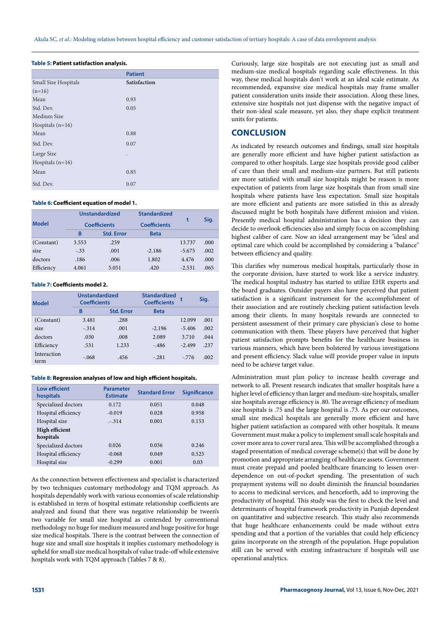|                      | <b>Patient</b> |  |  |
|----------------------|----------------|--|--|
| Small Size Hospitals | Satisfaction   |  |  |
| $(n=16)$             |                |  |  |
| Mean                 | 0.93           |  |  |
| Std. Dev.            | 0.05           |  |  |
| Medium Size          |                |  |  |
| Hospitals $(n=16)$   |                |  |  |
| Mean                 | 0.88           |  |  |
| Std. Dev.            | 0.07           |  |  |
| Large Size           |                |  |  |
| Hospitals $(n=16)$   |                |  |  |
| Mean                 | 0.85           |  |  |
| Std. Dev.            | 0.07           |  |  |

### **Table 5: Patient satisfaction analysis.**

#### **Table 6: Coefficient equation of model 1.**

|              |        | <b>Unstandardized</b> | <b>Standardized</b> |          | Sig. |
|--------------|--------|-----------------------|---------------------|----------|------|
| <b>Model</b> |        | <b>Coefficients</b>   | <b>Coefficients</b> |          |      |
|              | B      | <b>Std. Error</b>     | <b>Beta</b>         |          |      |
| (Constant)   | 3.553  | .259                  |                     | 13.737   | .000 |
| size         | $-.33$ | .001                  | $-2.186$            | $-5.675$ | .002 |
| doctors      | .186   | .006                  | 1.802               | 4.476    | .000 |
| Efficiency   | 4.061  | 5.051                 | .420                | $-2.531$ | .065 |

#### **Table 7: Coefficients model 2.**

| <b>Model</b>        | Unstandardized<br><b>Coefficients</b> |                   | <b>Standardized</b><br><b>Coefficients</b> |          | Sig. |
|---------------------|---------------------------------------|-------------------|--------------------------------------------|----------|------|
|                     | B                                     | <b>Std. Error</b> | <b>Beta</b>                                |          |      |
| (Constant)          | 3.481                                 | .288              |                                            | 12.099   | .001 |
| size                | $-.314$                               | .001              | $-2.196$                                   | $-5.406$ | .002 |
| doctors             | .030                                  | .008              | 2.089                                      | 3.710    | .044 |
| Efficiency          | .531                                  | 1.233             | $-.486$                                    | $-2.499$ | .237 |
| Interaction<br>term | $-.068$                               | .456              | $-.281$                                    | $-776$   | .002 |

#### **Table 8: Regression analyses of low and high efficient hospitals.**

| <b>Low efficient</b><br>hospitals  | Parameter<br><b>Estimate</b> | <b>Standard Error</b> | <b>Significance</b> |
|------------------------------------|------------------------------|-----------------------|---------------------|
| Specialized doctors                | 0.172                        | 0.051                 | 0.048               |
| Hospital efficiency                | $-0.019$                     | 0.028                 | 0.958               |
| Hospital size                      | $-.314$                      | 0.001                 | 0.153               |
| <b>High efficient</b><br>hospitals |                              |                       |                     |
| Specialized doctors                | 0.026                        | 0.036                 | 0.246               |
| Hospital efficiency                | $-0.068$                     | 0.049                 | 0.525               |
| Hospital size                      | $-0.299$                     | 0.001                 | 0.03                |

As the connection between effectiveness and specialist is characterized by two techniques customary methodology and TQM approach. As hospitals dependably work with various economies of scale relationship is established in term of hospital estimate relationship coefficients are analyzed and found that there was negative relationship be tween's two variable for small size hospital as contended by conventional methodology no huge for medium measured and huge positive for huge size medical hospitals. There is the contrast between the connection of huge size and small size hospitals it implies customary methodology is upheld for small size medical hospitals of value trade-off while extensive hospitals work with TQM approach (Tables 7 & 8).

Curiously, large size hospitals are not executing just as small and medium-size medical hospitals regarding scale effectiveness. In this way, these medical hospitals don't work at an ideal scale estimate. As recommended, expansive size medical hospitals may frame smaller patient consideration units inside their association. Along these lines, extensive size hospitals not just dispense with the negative impact of their non-ideal scale measure, yet also, they shape explicit treatment units for patients.

## **CONCLUSION**

As indicated by research outcomes and findings, small size hospitals are generally more efficient and have higher patient satisfaction as compared to other hospitals. Large size hospitals provide good caliber of care than their small and medium-size partners. But still patients are more satisfied with small size hospitals might be reason is more expectation of patients from large size hospitals than from small size hospitals where patients have less expectation. Small size hospitals are more efficient and patients are more satisfied in this as already discussed might be both hospitals have different mission and vision. Presently medical hospital administration has a decision they can decide to overlook efficiencies also and simply focus on accomplishing highest caliber of care. Now an ideal arrangement may be "ideal and optimal care which could be accomplished by considering a "balance" between efficiency and quality.

This clarifies why numerous medical hospitals, particularly those in the corporate division, have started to work like a service industry. The medical hospital industry has started to utilize EHR experts and the board graduates. Outsider payers also have perceived that patient satisfaction is a significant instrument for the accomplishment of their association and are routinely checking patient satisfaction levels among their clients. In many hospitals rewards are connected to persistent assessment of their primary care physician's close to home communication with them. These players have perceived that higher patient satisfaction prompts benefits for the healthcare business in various manners, which have been bolstered by various investigations and present efficiency. Slack value will provide proper value in inputs need to be achieve target value.

Administration must plan policy to increase health coverage and network to all. Present research indicates that smaller hospitals have a higher level of efficiency than larger and medium-size hospitals, smaller size hospitals average efficiency is .80. The average efficiency of medium size hospitals is .75 and the large hospital is .73. As per our outcomes, small size medical hospitals are generally more efficient and have higher patient satisfaction as compared with other hospitals. It means Government must make a policy to implement small scale hospitals and cover more area to cover rural area. This will be accomplished through a staged presentation of medical coverage scheme(s) that will be done by promotion and appropriate arranging of healthcare assets. Government must create prepaid and pooled healthcare financing to lessen overdependence on out-of-pocket spending. The presentation of such prepayment systems will no doubt diminish the financial boundaries to access to medicinal services, and henceforth, add to improving the productivity of hospital. This study was the first to check the level and determinants of hospital framework productivity in Punjab dependent on quantitative and subjective research. This study also recommends that huge healthcare enhancements could be made without extra spending and that a portion of the variables that could help efficiency gains incorporate on the strength of the population. Huge population still can be served with existing infrastructure if hospitals will use operational analytics.